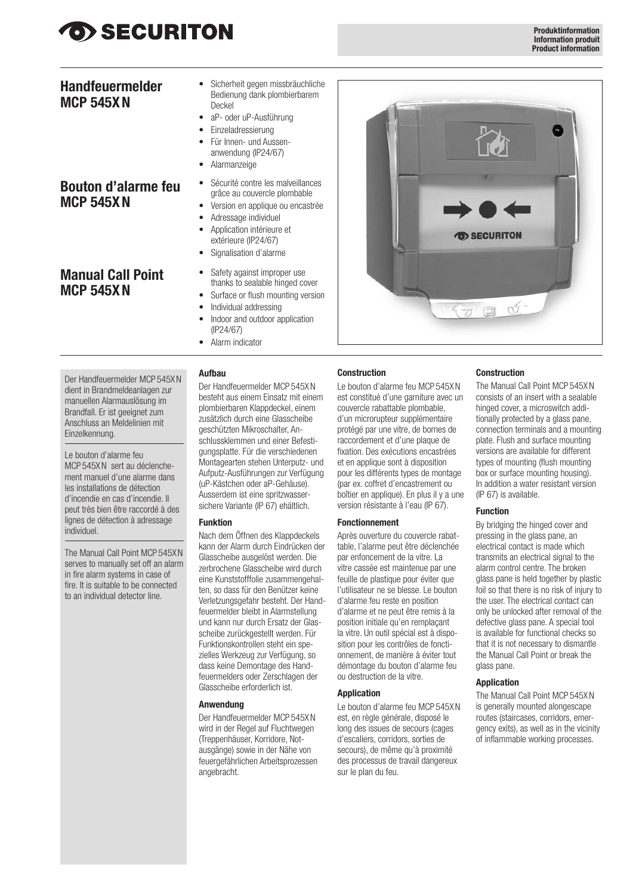## O> SECURITON

### **Handfeuermelder MCP 545XN**

- Sicherheit gegen missbräuchliche Bedienung dank plombierbarem Deckel
- aP- oder uP-Ausführung
- Einzeladressierung
- Für Innen- und Aussenanwendung (IP24/67)
- Alarmanzeige
- Sécurité contre les malveillances grâce au couvercle plombable
- Version en applique ou encastrée Adressage individuel
- Application intérieure et extérieure (IP24/67)
- Signalisation d'alarme
- **Manual Call Point MCP 545XN**

**Bouton d'alarme feu**

**MCP 545XN**

- Safety against improper use thanks to sealable hinged cover
- Surface or flush mounting version
- Individual addressing
- Indoor and outdoor application (IP24/67)
- Alarm indicator

#### **Aufbau**

Der Handfeuermelder MCP 545XN dient in Brandmeldeanlagen zur manuellen Alarmauslösung im Brandfall. Er ist geeignet zum Anschluss an Meldelinien mit Einzelkennung.

Le bouton d'alarme feu MCP 545XN sert au déclenchement manuel d'une alarme dans les installations de détection d'incendie en cas d'incendie. Il peut très bien être raccordé à des lignes de détection à adressage individuel.

The Manual Call Point MCP 545XN serves to manually set off an alarm in fire alarm systems in case of fire. It is suitable to be connected to an individual detector line.

Der Handfeuermelder MCP 545XN besteht aus einem Einsatz mit einem plombierbaren Klappdeckel, einem zusätzlich durch eine Glasscheibe geschützten Mikroschalter, Anschlussklemmen und einer Befestigungsplatte. Für die verschiedenen Montagearten stehen Unterputz- und Aufputz-Ausführungen zur Verfügung (uP-Kästchen oder aP-Gehäuse). Ausserdem ist eine spritzwassersichere Variante (IP 67) ehältlich.

#### **Funktion**

Nach dem Öffnen des Klappdeckels kann der Alarm durch Eindrücken der Glasscheibe ausgelöst werden. Die zerbrochene Glasscheibe wird durch eine Kunststofffolie zusammengehalten, so dass für den Benützer keine Verletzungsgefahr besteht. Der Handfeuermelder bleibt in Alarmstellung und kann nur durch Ersatz der Glasscheibe zurückgestellt werden. Für Funktionskontrollen steht ein spezielles Werkzeug zur Verfügung, so dass keine Demontage des Handfeuermelders oder Zerschlagen der Glasscheibe erforderlich ist.

#### **Anwendung**

Der Handfeuermelder MCP 545XN wird in der Regel auf Fluchtwegen (Treppenhäuser, Korridore, Notausgänge) sowie in der Nähe von feuergefährlichen Arbeitsprozessen angebracht.



#### **Construction**

Le bouton d'alarme feu MCP 545XN est constitué d'une garniture avec un couvercle rabattable plombable, d'un microrupteur supplémentaire protégé par une vitre, de bornes de raccordement et d'une plaque de fixation. Des exécutions encastrées et en applique sont à disposition pour les différents types de montage (par ex. coffret d'encastrement ou boîtier en applique). En plus il y a une version résistante à l'eau (IP 67).

#### **Fonctionnement**

Après ouverture du couvercle rabattable, l'alarme peut être déclenchée par enfoncement de la vitre. La vitre cassée est maintenue par une feuille de plastique pour éviter que l'utilisateur ne se blesse. Le bouton d'alarme feu reste en position d'alarme et ne peut être remis à la position initiale qu'en remplaçant la vitre. Un outil spécial est à disposition pour les contrôles de fonctionnement, de manière à éviter tout démontage du bouton d'alarme feu ou destruction de la vitre.

#### **Application**

Le bouton d'alarme feu MCP 545XN est, en règle générale, disposé le long des issues de secours (cages d'escaliers, corridors, sorties de secours), de même qu'à proximité des processus de travail dangereux sur le plan du feu.

#### **Construction**

The Manual Call Point MCP 545XN consists of an insert with a sealable hinged cover, a microswitch additionally protected by a glass pane, connection terminals and a mounting plate. Flush and surface mounting versions are available for different types of mounting (flush mounting box or surface mounting housing). In addition a water resistant version (IP 67) is available.

#### **Function**

By bridging the hinged cover and pressing in the glass pane, an electrical contact is made which transmits an electrical signal to the alarm control centre. The broken glass pane is held together by plastic foil so that there is no risk of injury to the user. The electrical contact can only be unlocked after removal of the defective glass pane. A special tool is available for functional checks so that it is not necessary to dismantle the Manual Call Point or break the glass pane.

#### **Application**

The Manual Call Point MCP 545XN is generally mounted alongescape routes (staircases, corridors, emergency exits), as well as in the vicinity of inflammable working processes.